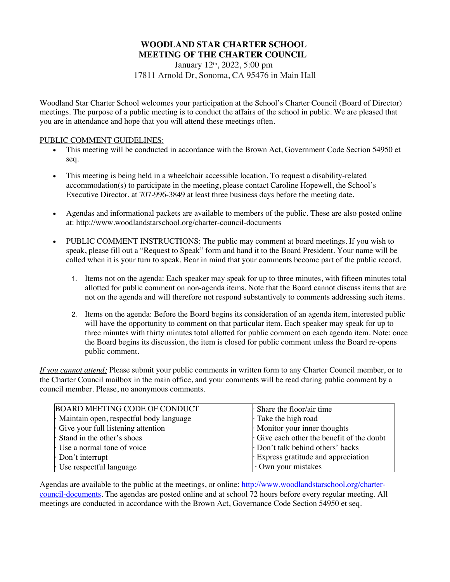# **WOODLAND STAR CHARTER SCHOOL MEETING OF THE CHARTER COUNCIL**

January 12th, 2022, 5:00 pm 17811 Arnold Dr, Sonoma, CA 95476 in Main Hall

Woodland Star Charter School welcomes your participation at the School's Charter Council (Board of Director) meetings. The purpose of a public meeting is to conduct the affairs of the school in public. We are pleased that you are in attendance and hope that you will attend these meetings often.

### PUBLIC COMMENT GUIDELINES:

- This meeting will be conducted in accordance with the Brown Act, Government Code Section 54950 et seq.
- This meeting is being held in a wheelchair accessible location. To request a disability-related accommodation(s) to participate in the meeting, please contact Caroline Hopewell, the School's Executive Director, at 707-996-3849 at least three business days before the meeting date.
- Agendas and informational packets are available to members of the public. These are also posted online at: http://www.woodlandstarschool.org/charter-council-documents
- PUBLIC COMMENT INSTRUCTIONS: The public may comment at board meetings. If you wish to speak, please fill out a "Request to Speak" form and hand it to the Board President. Your name will be called when it is your turn to speak. Bear in mind that your comments become part of the public record.
	- 1. Items not on the agenda: Each speaker may speak for up to three minutes, with fifteen minutes total allotted for public comment on non-agenda items. Note that the Board cannot discuss items that are not on the agenda and will therefore not respond substantively to comments addressing such items.
	- 2. Items on the agenda: Before the Board begins its consideration of an agenda item, interested public will have the opportunity to comment on that particular item. Each speaker may speak for up to three minutes with thirty minutes total allotted for public comment on each agenda item. Note: once the Board begins its discussion, the item is closed for public comment unless the Board re-opens public comment.

*If you cannot attend:* Please submit your public comments in written form to any Charter Council member, or to the Charter Council mailbox in the main office, and your comments will be read during public comment by a council member. Please, no anonymous comments.

| BOARD MEETING CODE OF CONDUCT           | $\cdot$ Share the floor/air time         |
|-----------------------------------------|------------------------------------------|
| Maintain open, respectful body language | Take the high road                       |
| Give your full listening attention      | Monitor your inner thoughts              |
| Stand in the other's shoes              | Give each other the benefit of the doubt |
| Use a normal tone of voice              | Don't talk behind others' backs          |
| Don't interrupt                         | Express gratitude and appreciation       |
| Use respectful language                 | Own your mistakes                        |

Agendas are available to the public at the meetings, or online: http://www.woodlandstarschool.org/chartercouncil-documents. The agendas are posted online and at school 72 hours before every regular meeting. All meetings are conducted in accordance with the Brown Act, Governance Code Section 54950 et seq.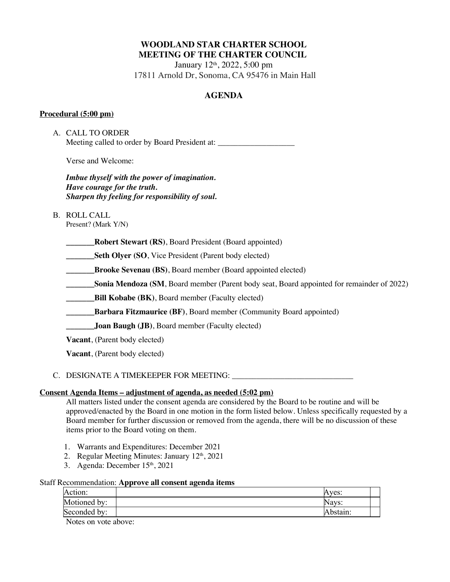# **WOODLAND STAR CHARTER SCHOOL MEETING OF THE CHARTER COUNCIL**

January 12th, 2022, 5:00 pm 17811 Arnold Dr, Sonoma, CA 95476 in Main Hall

# **AGENDA**

### **Procedural (5:00 pm)**

A. CALL TO ORDER Meeting called to order by Board President at:

Verse and Welcome:

*Imbue thyself with the power of imagination. Have courage for the truth. Sharpen thy feeling for responsibility of soul.*

B. ROLL CALL

Present? (Mark Y/N)

**\_\_\_\_\_\_\_Robert Stewart (RS)**, Board President (Board appointed)

**Seth Olyer (SO, Vice President (Parent body elected)** 

**Brooke Sevenau (BS)**, Board member (Board appointed elected)

**Sonia Mendoza (SM, Board member (Parent body seat, Board appointed for remainder of 2022)** 

**\_\_\_\_\_\_\_Bill Kobabe (BK)**, Board member (Faculty elected)

**Example 3** Barbara Fitzmaurice (BF), Board member (Community Board appointed)

**\_\_\_\_\_\_\_Joan Baugh (JB)**, Board member (Faculty elected)

**Vacant**, (Parent body elected)

**Vacant**, (Parent body elected)

# C. DESIGNATE A TIMEKEEPER FOR MEETING: \_\_\_\_\_\_\_\_\_\_\_\_\_\_\_\_\_\_\_\_\_\_\_\_\_\_\_\_\_\_

### **Consent Agenda Items – adjustment of agenda, as needed (5:02 pm)**

All matters listed under the consent agenda are considered by the Board to be routine and will be approved/enacted by the Board in one motion in the form listed below. Unless specifically requested by a Board member for further discussion or removed from the agenda, there will be no discussion of these items prior to the Board voting on them.

- 1. Warrants and Expenditures: December 2021
- 2. Regular Meeting Minutes: January  $12<sup>th</sup>$ , 2021
- 3. Agenda: December 15<sup>th</sup>, 2021

### Staff Recommendation: **Approve all consent agenda items**

| Action:      | Aves:                     |             |  |
|--------------|---------------------------|-------------|--|
| Motioned by: | $\sqrt{9V}$<br>11 ya v 3. |             |  |
| Seconded by: |                           | $r$ hetoin: |  |

Notes on vote above: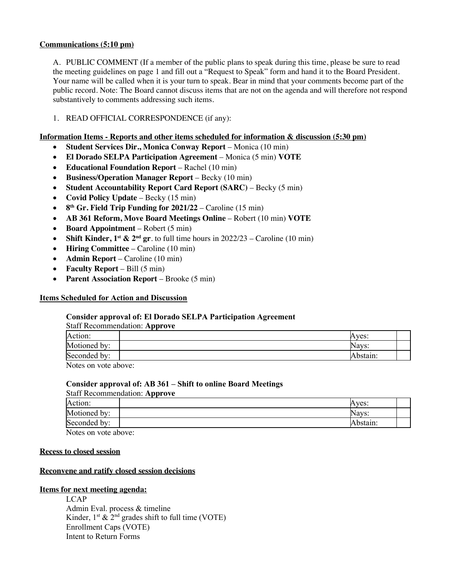### **Communications (5:10 pm)**

A. PUBLIC COMMENT (If a member of the public plans to speak during this time, please be sure to read the meeting guidelines on page 1 and fill out a "Request to Speak" form and hand it to the Board President. Your name will be called when it is your turn to speak. Bear in mind that your comments become part of the public record. Note: The Board cannot discuss items that are not on the agenda and will therefore not respond substantively to comments addressing such items.

## 1. READ OFFICIAL CORRESPONDENCE (if any):

#### **Information Items - Reports and other items scheduled for information & discussion (5:30 pm)**

- **Student Services Dir., Monica Conway Report** Monica (10 min)
- **El Dorado SELPA Participation Agreement**  Monica (5 min) **VOTE**
- **Educational Foundation Report** Rachel (10 min)
- **Business/Operation Manager Report** Becky (10 min)
- **Student Accountability Report Card Report (SARC)** Becky (5 min)
- **Covid Policy Update** Becky (15 min)
- **8th Gr. Field Trip Funding for 2021/22** Caroline (15 min)
- **AB 361 Reform, Move Board Meetings Online** Robert (10 min) **VOTE**
- **Board Appointment** Robert (5 min)
- **Shift Kinder,**  $1^{st}$  **&**  $2^{nd}$  **gr**. to full time hours in  $2022/23$  Caroline (10 min)
- **Hiring Committee**  Caroline (10 min)
- **Admin Report** Caroline (10 min)
- **Faculty Report** Bill (5 min)
- **Parent Association Report** Brooke (5 min)

### **Items Scheduled for Action and Discussion**

#### **Consider approval of: El Dorado SELPA Participation Agreement**

| <b>Staff Recommendation: Approve</b> |          |  |  |
|--------------------------------------|----------|--|--|
| Action:                              | Aves:    |  |  |
| Motioned by:                         | Navs:    |  |  |
| Seconded by:                         | Abstain: |  |  |
| Notes on vote above:                 |          |  |  |

Notes on vote above:

#### **Consider approval of: AB 361 – Shift to online Board Meetings**  Staff Recommendation: **Approve**

| . .          |          |
|--------------|----------|
| Action:      | Aves:    |
| Motioned by: | Navs:    |
| Seconded by: | Abstain: |
| <b>AT</b>    |          |

Notes on vote above:

#### **Recess to closed session**

### **Reconvene and ratify closed session decisions**

## **Items for next meeting agenda:**

**LCAP** Admin Eval. process & timeline Kinder,  $1^{st} \& 2^{nd}$  grades shift to full time (VOTE) Enrollment Caps (VOTE) Intent to Return Forms